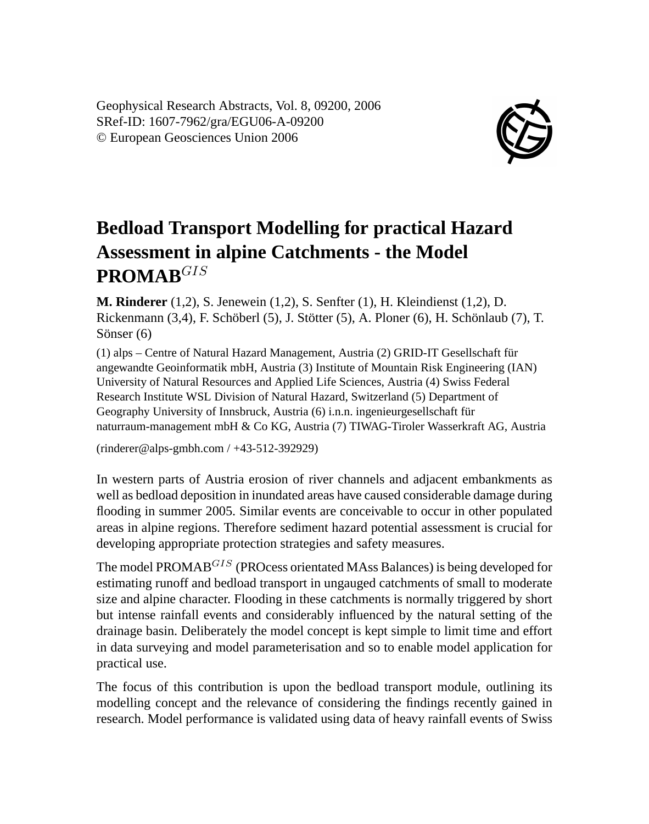Geophysical Research Abstracts, Vol. 8, 09200, 2006 SRef-ID: 1607-7962/gra/EGU06-A-09200 © European Geosciences Union 2006



## **Bedload Transport Modelling for practical Hazard Assessment in alpine Catchments - the Model PROMAB**GIS

**M. Rinderer** (1,2), S. Jenewein (1,2), S. Senfter (1), H. Kleindienst (1,2), D. Rickenmann (3,4), F. Schöberl (5), J. Stötter (5), A. Ploner (6), H. Schönlaub (7), T. Sönser (6)

(1) alps – Centre of Natural Hazard Management, Austria (2) GRID-IT Gesellschaft für angewandte Geoinformatik mbH, Austria (3) Institute of Mountain Risk Engineering (IAN) University of Natural Resources and Applied Life Sciences, Austria (4) Swiss Federal Research Institute WSL Division of Natural Hazard, Switzerland (5) Department of Geography University of Innsbruck, Austria (6) i.n.n. ingenieurgesellschaft für naturraum-management mbH & Co KG, Austria (7) TIWAG-Tiroler Wasserkraft AG, Austria

(rinderer@alps-gmbh.com / +43-512-392929)

In western parts of Austria erosion of river channels and adjacent embankments as well as bedload deposition in inundated areas have caused considerable damage during flooding in summer 2005. Similar events are conceivable to occur in other populated areas in alpine regions. Therefore sediment hazard potential assessment is crucial for developing appropriate protection strategies and safety measures.

The model PROMAB<sup>GIS</sup> (PROcess orientated MAss Balances) is being developed for estimating runoff and bedload transport in ungauged catchments of small to moderate size and alpine character. Flooding in these catchments is normally triggered by short but intense rainfall events and considerably influenced by the natural setting of the drainage basin. Deliberately the model concept is kept simple to limit time and effort in data surveying and model parameterisation and so to enable model application for practical use.

The focus of this contribution is upon the bedload transport module, outlining its modelling concept and the relevance of considering the findings recently gained in research. Model performance is validated using data of heavy rainfall events of Swiss